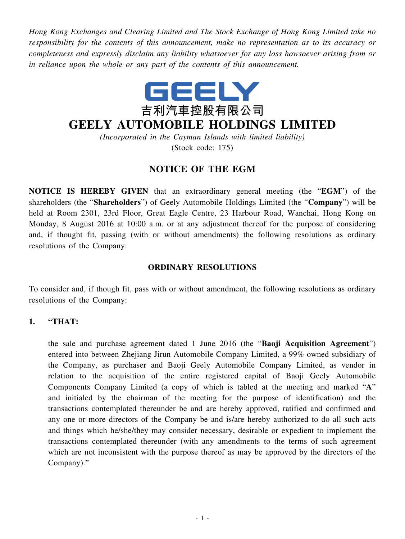*Hong Kong Exchanges and Clearing Limited and The Stock Exchange of Hong Kong Limited take no responsibility for the contents of this announcement, make no representation as to its accuracy or completeness and expressly disclaim any liability whatsoever for any loss howsoever arising from or in reliance upon the whole or any part of the contents of this announcement.*



# **GEELY AUTOMOBILE HOLDINGS LIMITED**

*(Incorporated in the Cayman Islands with limited liability)*

(Stock code: 175)

## **NOTICE OF THE EGM**

**NOTICE IS HEREBY GIVEN** that an extraordinary general meeting (the "**EGM**") of the shareholders (the "**Shareholders**") of Geely Automobile Holdings Limited (the "**Company**") will be held at Room 2301, 23rd Floor, Great Eagle Centre, 23 Harbour Road, Wanchai, Hong Kong on Monday, 8 August 2016 at 10:00 a.m. or at any adjustment thereof for the purpose of considering and, if thought fit, passing (with or without amendments) the following resolutions as ordinary resolutions of the Company:

#### **ORDINARY RESOLUTIONS**

To consider and, if though fit, pass with or without amendment, the following resolutions as ordinary resolutions of the Company:

#### **1. "THAT:**

the sale and purchase agreement dated 1 June 2016 (the "**Baoji Acquisition Agreement**") entered into between Zhejiang Jirun Automobile Company Limited, a 99% owned subsidiary of the Company, as purchaser and Baoji Geely Automobile Company Limited, as vendor in relation to the acquisition of the entire registered capital of Baoji Geely Automobile Components Company Limited (a copy of which is tabled at the meeting and marked "**A**" and initialed by the chairman of the meeting for the purpose of identification) and the transactions contemplated thereunder be and are hereby approved, ratified and confirmed and any one or more directors of the Company be and is/are hereby authorized to do all such acts and things which he/she/they may consider necessary, desirable or expedient to implement the transactions contemplated thereunder (with any amendments to the terms of such agreement which are not inconsistent with the purpose thereof as may be approved by the directors of the Company)."